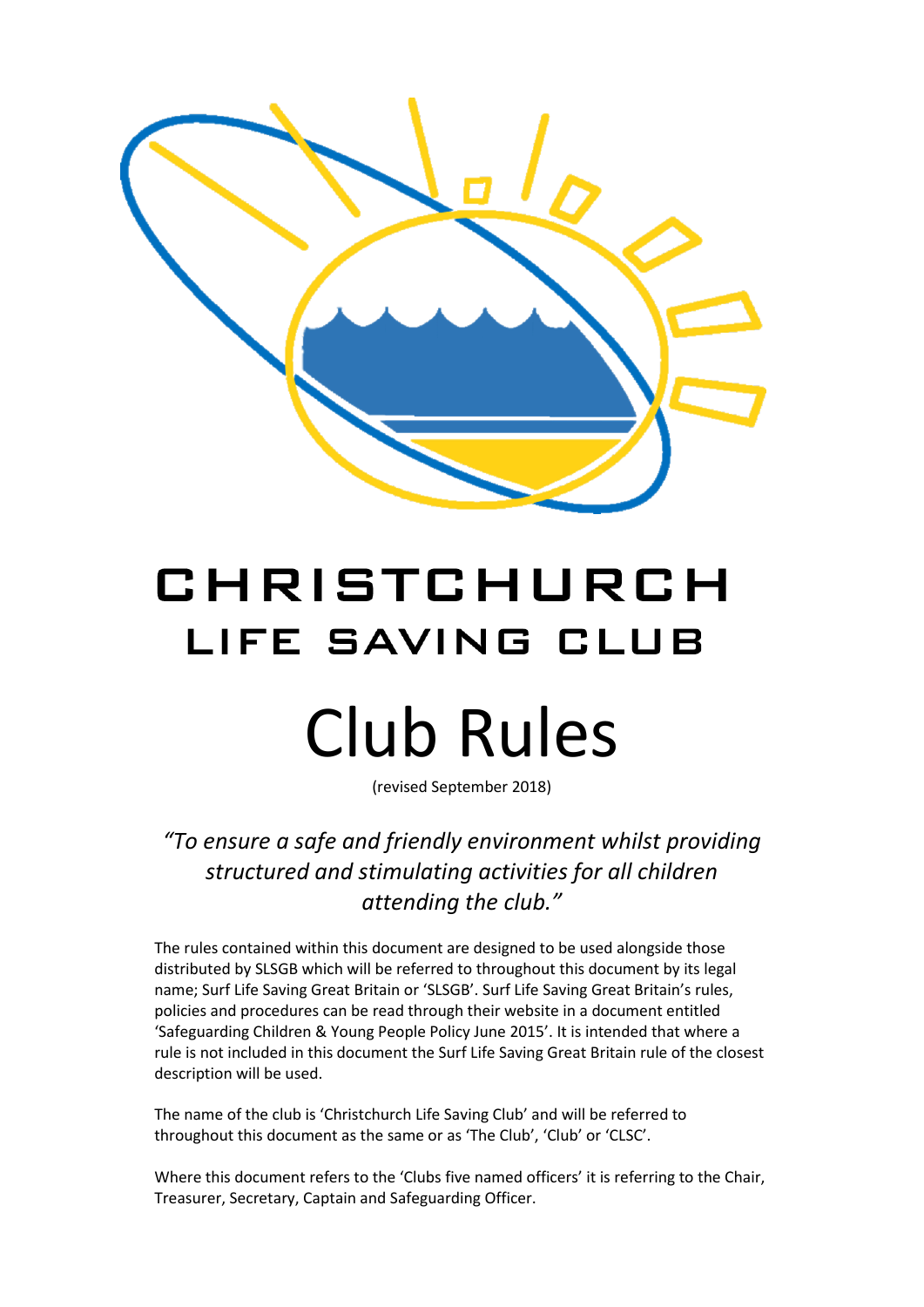

# CHRISTCHURCH LIFE SAVING CLUB Club Rules

(revised September 2018)

*"To ensure a safe and friendly environment whilst providing structured and stimulating activities for all children attending the club."*

The rules contained within this document are designed to be used alongside those distributed by SLSGB which will be referred to throughout this document by its legal name; Surf Life Saving Great Britain or 'SLSGB'. Surf Life Saving Great Britain's rules, policies and procedures can be read through their website in a document entitled 'Safeguarding Children & Young People Policy June 2015'. It is intended that where a rule is not included in this document the Surf Life Saving Great Britain rule of the closest description will be used.

The name of the club is 'Christchurch Life Saving Club' and will be referred to throughout this document as the same or as 'The Club', 'Club' or 'CLSC'.

Where this document refers to the 'Clubs five named officers' it is referring to the Chair, Treasurer, Secretary, Captain and Safeguarding Officer.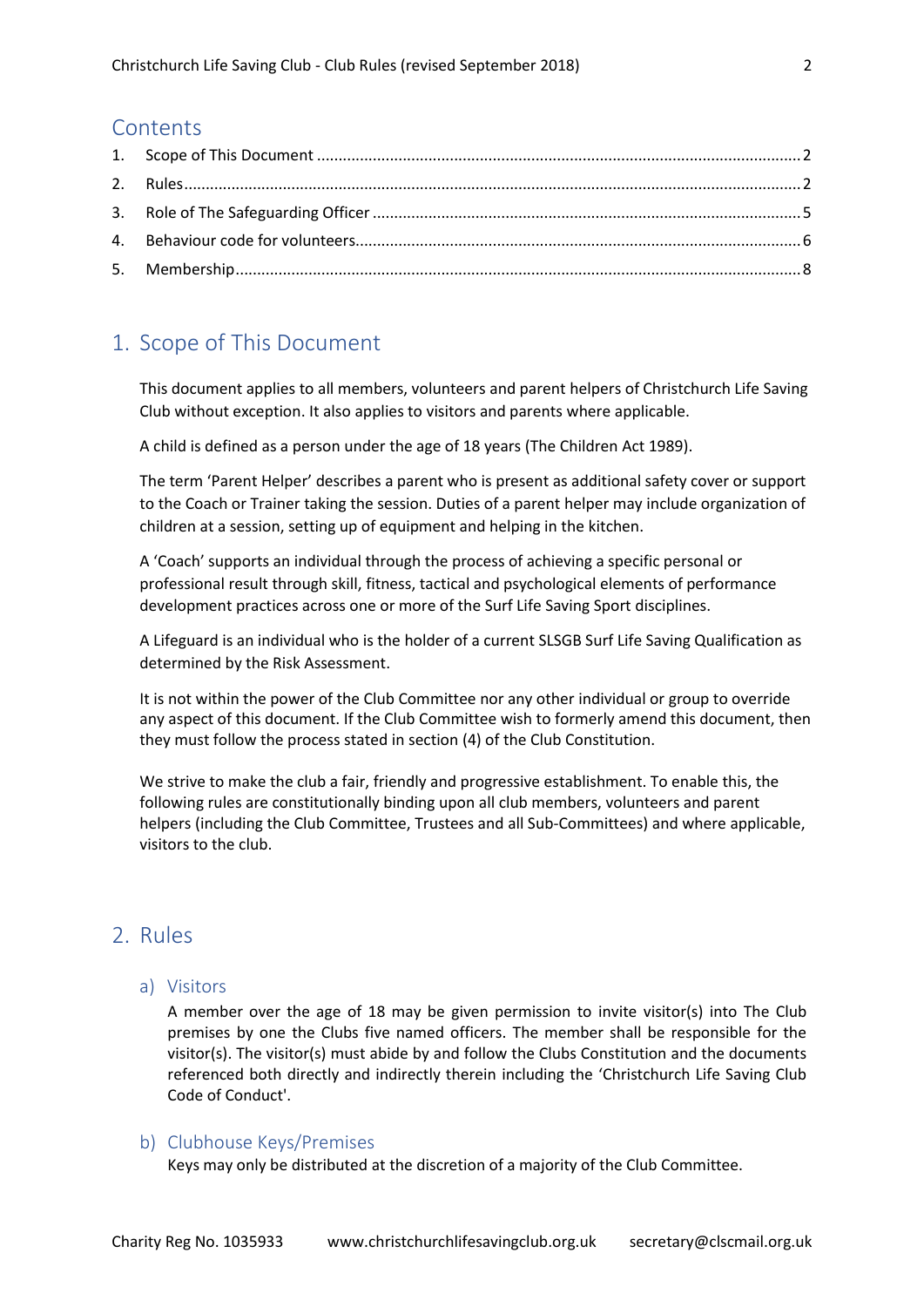# **Contents**

# <span id="page-1-0"></span>1. Scope of This Document

This document applies to all members, volunteers and parent helpers of Christchurch Life Saving Club without exception. It also applies to visitors and parents where applicable.

A child is defined as a person under the age of 18 years (The Children Act 1989).

The term 'Parent Helper' describes a parent who is present as additional safety cover or support to the Coach or Trainer taking the session. Duties of a parent helper may include organization of children at a session, setting up of equipment and helping in the kitchen.

A 'Coach' supports an individual through the process of achieving a specific personal or professional result through skill, fitness, tactical and psychological elements of performance development practices across one or more of the Surf Life Saving Sport disciplines.

A Lifeguard is an individual who is the holder of a current SLSGB Surf Life Saving Qualification as determined by the Risk Assessment.

It is not within the power of the Club Committee nor any other individual or group to override any aspect of this document. If the Club Committee wish to formerly amend this document, then they must follow the process stated in section (4) of the Club Constitution.

We strive to make the club a fair, friendly and progressive establishment. To enable this, the following rules are constitutionally binding upon all club members, volunteers and parent helpers (including the Club Committee, Trustees and all Sub-Committees) and where applicable, visitors to the club.

# <span id="page-1-1"></span>2. Rules

## a) Visitors

A member over the age of 18 may be given permission to invite visitor(s) into The Club premises by one the Clubs five named officers. The member shall be responsible for the visitor(s). The visitor(s) must abide by and follow the Clubs Constitution and the documents referenced both directly and indirectly therein including the 'Christchurch Life Saving Club Code of Conduct'.

# b) Clubhouse Keys/Premises

Keys may only be distributed at the discretion of a majority of the Club Committee.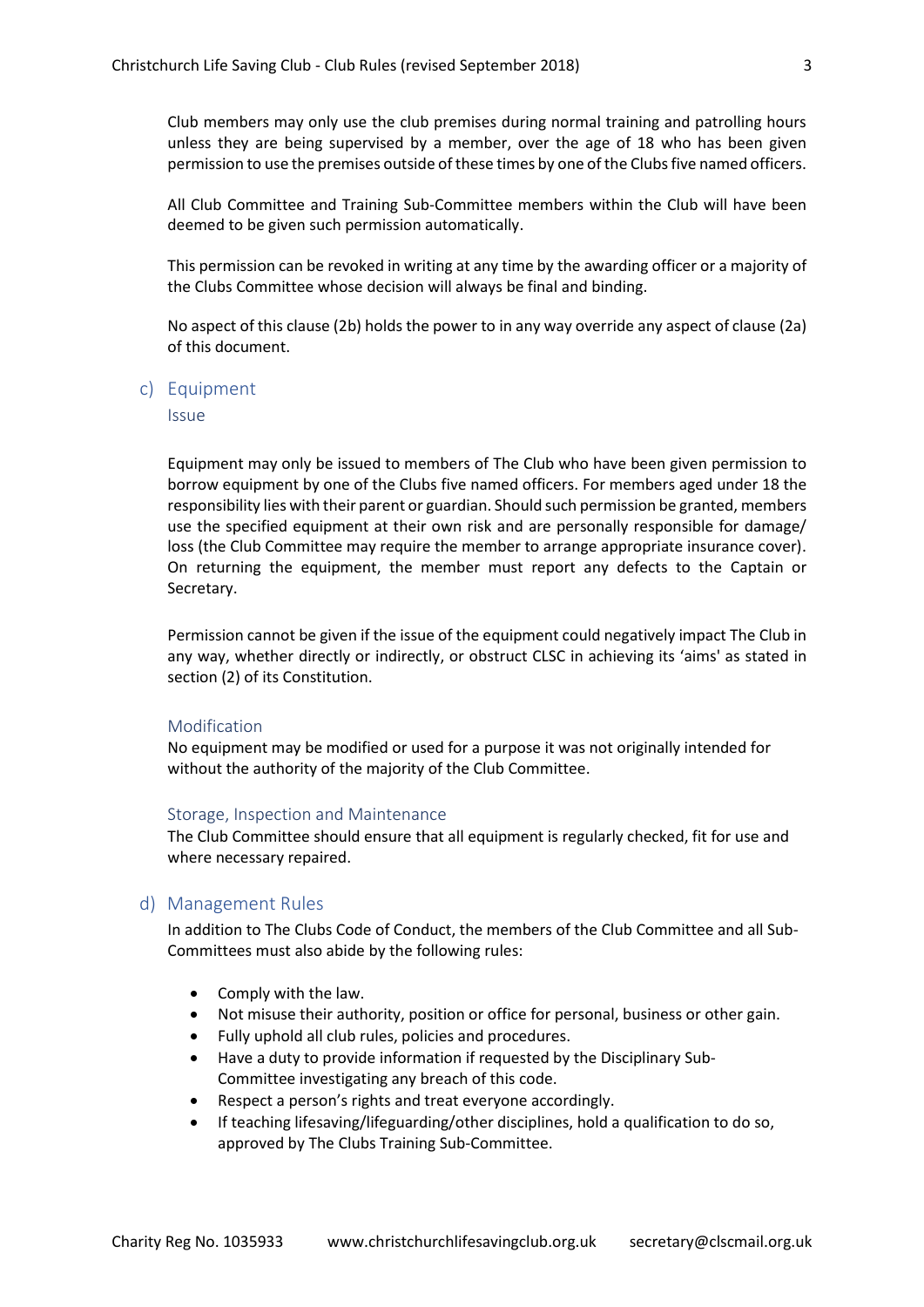Club members may only use the club premises during normal training and patrolling hours unless they are being supervised by a member, over the age of 18 who has been given permission to use the premises outside of these times by one of the Clubs five named officers.

All Club Committee and Training Sub-Committee members within the Club will have been deemed to be given such permission automatically.

This permission can be revoked in writing at any time by the awarding officer or a majority of the Clubs Committee whose decision will always be final and binding.

No aspect of this clause (2b) holds the power to in any way override any aspect of clause (2a) of this document.

c) Equipment

**Issue** 

Equipment may only be issued to members of The Club who have been given permission to borrow equipment by one of the Clubs five named officers. For members aged under 18 the responsibility lies with their parent or guardian. Should such permission be granted, members use the specified equipment at their own risk and are personally responsible for damage/ loss (the Club Committee may require the member to arrange appropriate insurance cover). On returning the equipment, the member must report any defects to the Captain or Secretary.

Permission cannot be given if the issue of the equipment could negatively impact The Club in any way, whether directly or indirectly, or obstruct CLSC in achieving its 'aims' as stated in section (2) of its Constitution.

#### Modification

No equipment may be modified or used for a purpose it was not originally intended for without the authority of the majority of the Club Committee.

#### Storage, Inspection and Maintenance

The Club Committee should ensure that all equipment is regularly checked, fit for use and where necessary repaired.

#### d) Management Rules

In addition to The Clubs Code of Conduct, the members of the Club Committee and all Sub-Committees must also abide by the following rules:

- Comply with the law.
- Not misuse their authority, position or office for personal, business or other gain.
- Fully uphold all club rules, policies and procedures.
- Have a duty to provide information if requested by the Disciplinary Sub-Committee investigating any breach of this code.
- Respect a person's rights and treat everyone accordingly.
- If teaching lifesaving/lifeguarding/other disciplines, hold a qualification to do so, approved by The Clubs Training Sub-Committee.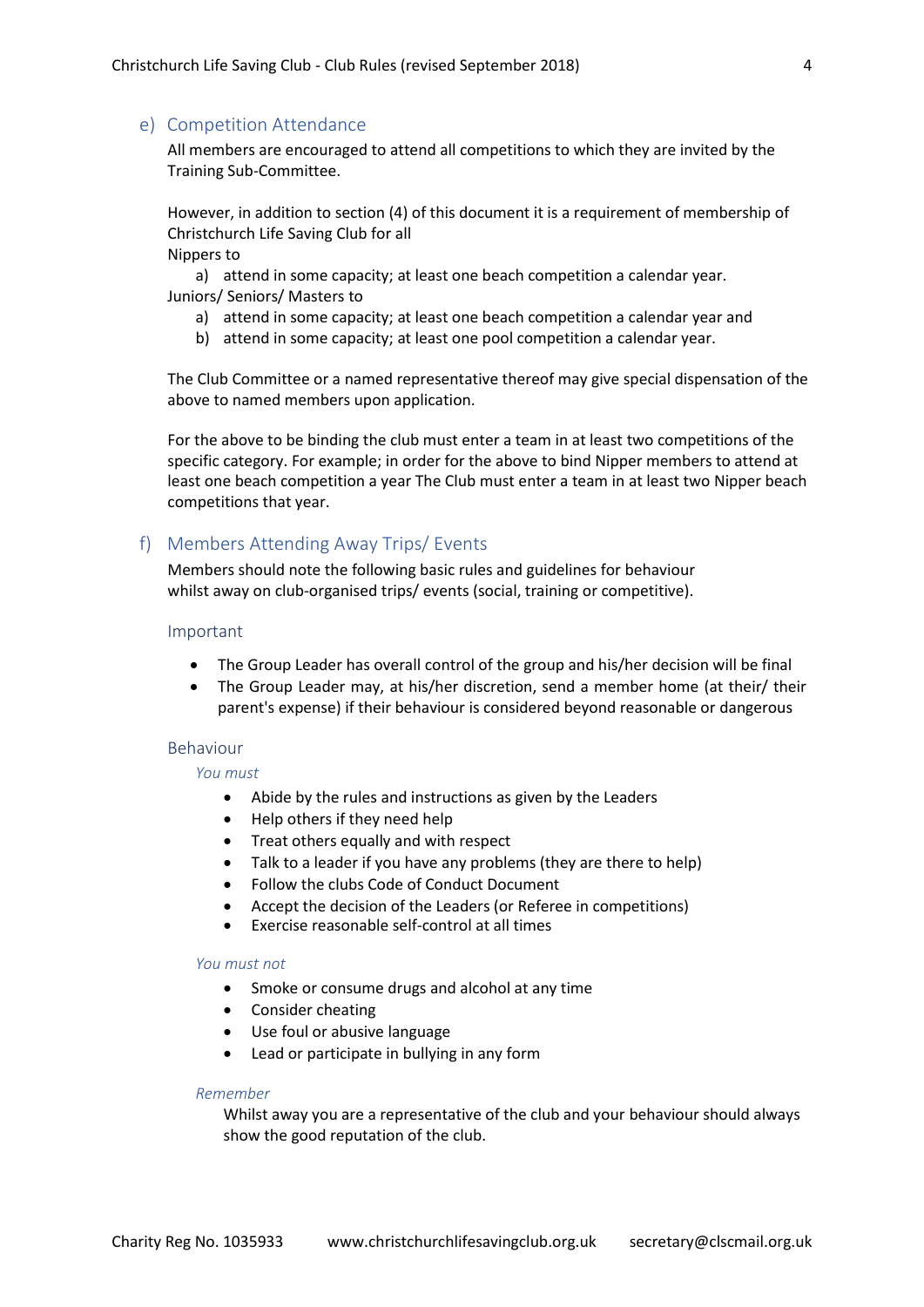#### e) Competition Attendance

All members are encouraged to attend all competitions to which they are invited by the Training Sub-Committee.

However, in addition to section (4) of this document it is a requirement of membership of Christchurch Life Saving Club for all

Nippers to

a) attend in some capacity; at least one beach competition a calendar year. Juniors/ Seniors/ Masters to

- a) attend in some capacity; at least one beach competition a calendar year and
- b) attend in some capacity; at least one pool competition a calendar year.

The Club Committee or a named representative thereof may give special dispensation of the above to named members upon application.

For the above to be binding the club must enter a team in at least two competitions of the specific category. For example; in order for the above to bind Nipper members to attend at least one beach competition a year The Club must enter a team in at least two Nipper beach competitions that year.

# f) Members Attending Away Trips/ Events

Members should note the following basic rules and guidelines for behaviour whilst away on club-organised trips/ events (social, training or competitive).

#### Important

- The Group Leader has overall control of the group and his/her decision will be final
- The Group Leader may, at his/her discretion, send a member home (at their/ their parent's expense) if their behaviour is considered beyond reasonable or dangerous

#### Behaviour

#### *You must*

- Abide by the rules and instructions as given by the Leaders
- Help others if they need help
- Treat others equally and with respect
- Talk to a leader if you have any problems (they are there to help)
- Follow the clubs Code of Conduct Document
- Accept the decision of the Leaders (or Referee in competitions)
- Exercise reasonable self-control at all times

#### *You must not*

- Smoke or consume drugs and alcohol at any time
- Consider cheating
- Use foul or abusive language
- Lead or participate in bullying in any form

## *Remember*

Whilst away you are a representative of the club and your behaviour should always show the good reputation of the club.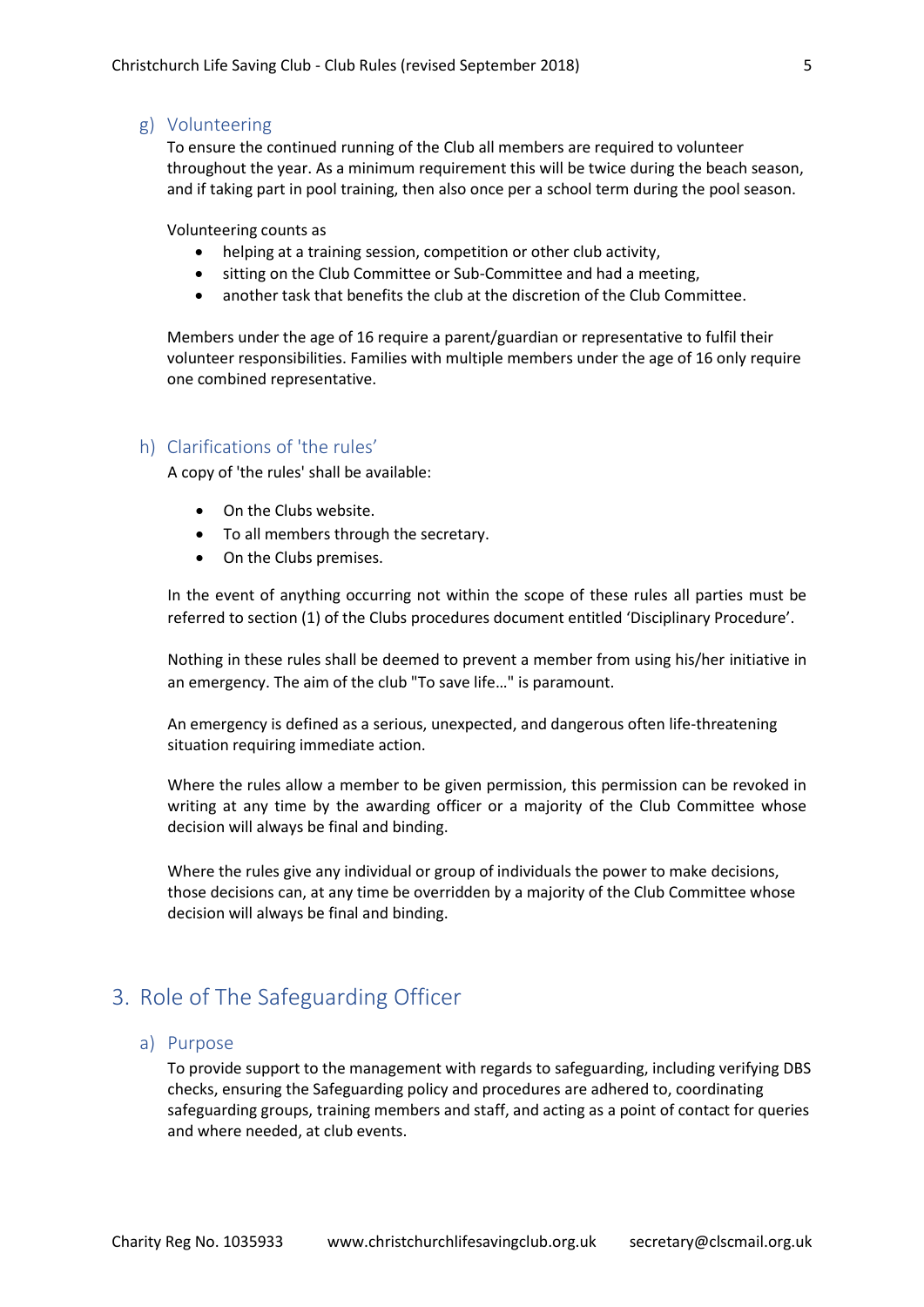#### g) Volunteering

To ensure the continued running of the Club all members are required to volunteer throughout the year. As a minimum requirement this will be twice during the beach season, and if taking part in pool training, then also once per a school term during the pool season.

Volunteering counts as

- helping at a training session, competition or other club activity,
- sitting on the Club Committee or Sub-Committee and had a meeting,
- another task that benefits the club at the discretion of the Club Committee.

Members under the age of 16 require a parent/guardian or representative to fulfil their volunteer responsibilities. Families with multiple members under the age of 16 only require one combined representative.

# h) Clarifications of 'the rules'

A copy of 'the rules' shall be available:

- On the Clubs website.
- To all members through the secretary.
- On the Clubs premises.

In the event of anything occurring not within the scope of these rules all parties must be referred to section (1) of the Clubs procedures document entitled 'Disciplinary Procedure'.

Nothing in these rules shall be deemed to prevent a member from using his/her initiative in an emergency. The aim of the club "To save life…" is paramount.

An emergency is defined as a serious, unexpected, and dangerous often life-threatening situation requiring immediate action.

Where the rules allow a member to be given permission, this permission can be revoked in writing at any time by the awarding officer or a majority of the Club Committee whose decision will always be final and binding.

Where the rules give any individual or group of individuals the power to make decisions, those decisions can, at any time be overridden by a majority of the Club Committee whose decision will always be final and binding.

# <span id="page-4-0"></span>3. Role of The Safeguarding Officer

### a) Purpose

To provide support to the management with regards to safeguarding, including verifying DBS checks, ensuring the Safeguarding policy and procedures are adhered to, coordinating safeguarding groups, training members and staff, and acting as a point of contact for queries and where needed, at club events.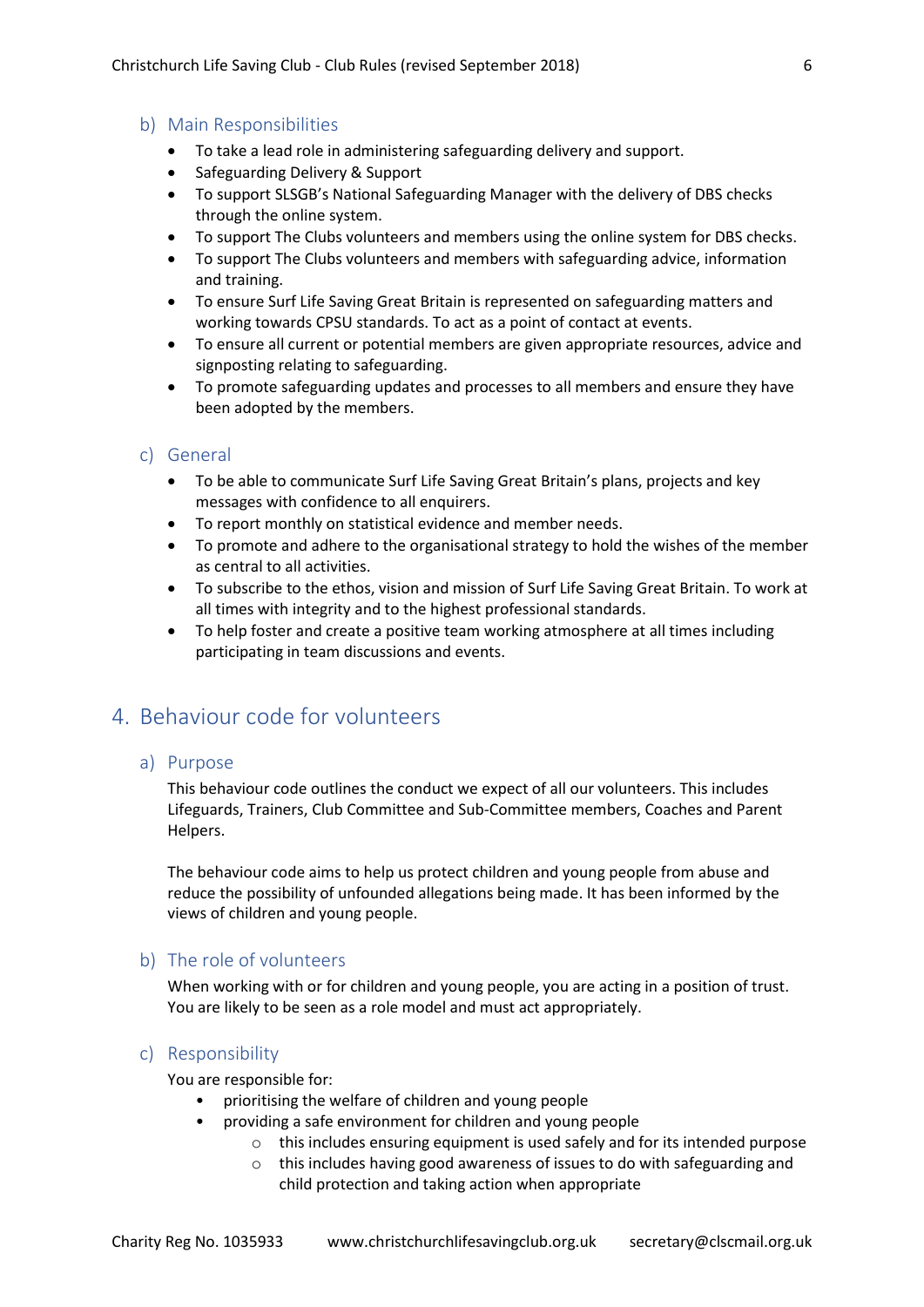#### b) Main Responsibilities

- To take a lead role in administering safeguarding delivery and support.
- Safeguarding Delivery & Support
- To support SLSGB's National Safeguarding Manager with the delivery of DBS checks through the online system.
- To support The Clubs volunteers and members using the online system for DBS checks.
- To support The Clubs volunteers and members with safeguarding advice, information and training.
- To ensure Surf Life Saving Great Britain is represented on safeguarding matters and working towards CPSU standards. To act as a point of contact at events.
- To ensure all current or potential members are given appropriate resources, advice and signposting relating to safeguarding.
- To promote safeguarding updates and processes to all members and ensure they have been adopted by the members.

## c) General

- To be able to communicate Surf Life Saving Great Britain's plans, projects and key messages with confidence to all enquirers.
- To report monthly on statistical evidence and member needs.
- To promote and adhere to the organisational strategy to hold the wishes of the member as central to all activities.
- To subscribe to the ethos, vision and mission of Surf Life Saving Great Britain. To work at all times with integrity and to the highest professional standards.
- To help foster and create a positive team working atmosphere at all times including participating in team discussions and events.

# <span id="page-5-0"></span>4. Behaviour code for volunteers

#### a) Purpose

This behaviour code outlines the conduct we expect of all our volunteers. This includes Lifeguards, Trainers, Club Committee and Sub-Committee members, Coaches and Parent Helpers.

The behaviour code aims to help us protect children and young people from abuse and reduce the possibility of unfounded allegations being made. It has been informed by the views of children and young people.

# b) The role of volunteers

When working with or for children and young people, you are acting in a position of trust. You are likely to be seen as a role model and must act appropriately.

# c) Responsibility

You are responsible for:

- prioritising the welfare of children and young people
- providing a safe environment for children and young people
	- $\circ$  this includes ensuring equipment is used safely and for its intended purpose
	- o this includes having good awareness of issues to do with safeguarding and child protection and taking action when appropriate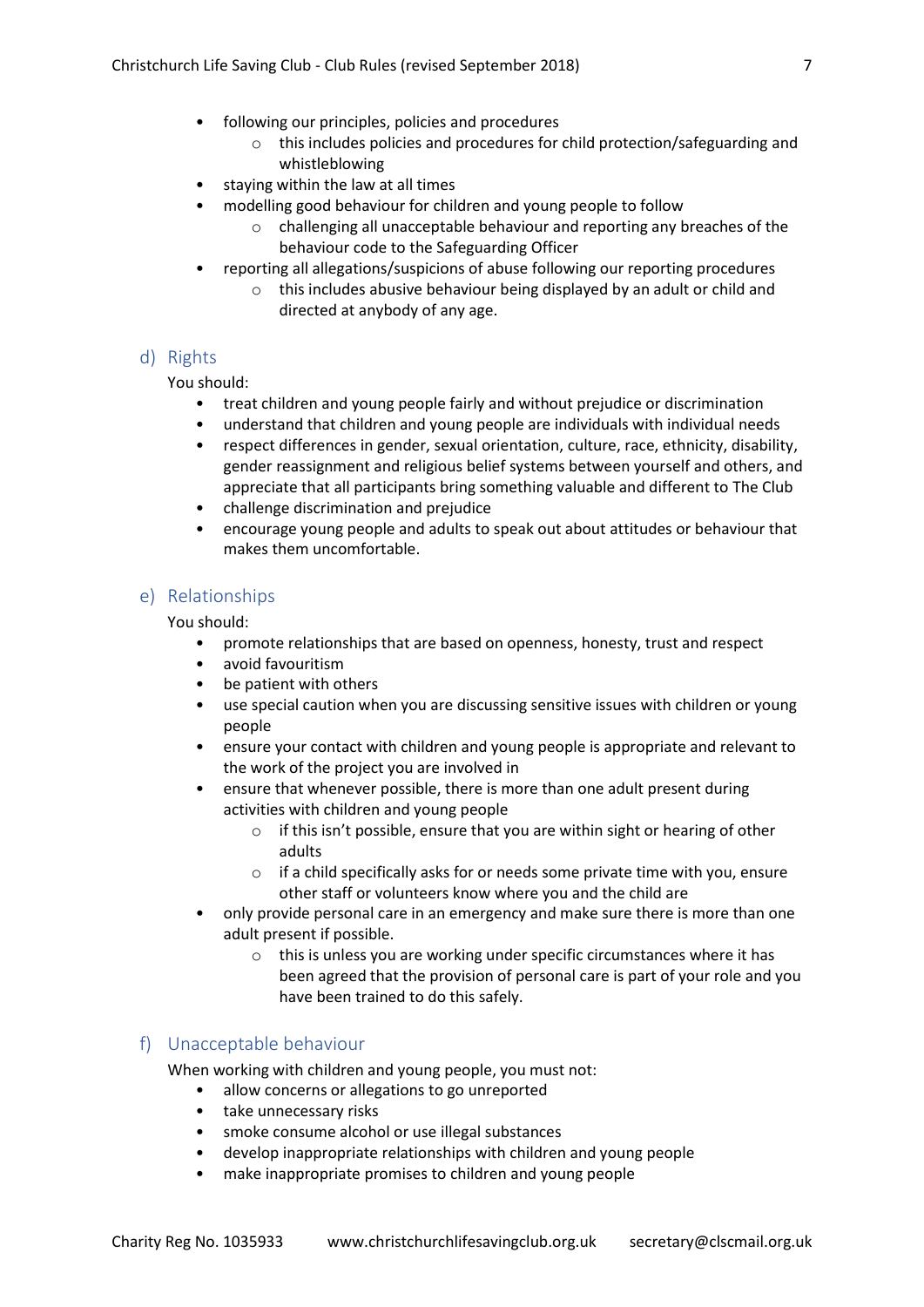- following our principles, policies and procedures
	- o this includes policies and procedures for child protection/safeguarding and whistleblowing
- staying within the law at all times
	- modelling good behaviour for children and young people to follow
		- o challenging all unacceptable behaviour and reporting any breaches of the behaviour code to the Safeguarding Officer
- reporting all allegations/suspicions of abuse following our reporting procedures
	- o this includes abusive behaviour being displayed by an adult or child and directed at anybody of any age.

# d) Rights

# You should:

- treat children and young people fairly and without prejudice or discrimination
- understand that children and young people are individuals with individual needs
- respect differences in gender, sexual orientation, culture, race, ethnicity, disability, gender reassignment and religious belief systems between yourself and others, and appreciate that all participants bring something valuable and different to The Club
- challenge discrimination and prejudice
- encourage young people and adults to speak out about attitudes or behaviour that makes them uncomfortable.

# e) Relationships

You should:

- promote relationships that are based on openness, honesty, trust and respect
- avoid favouritism
- be patient with others
- use special caution when you are discussing sensitive issues with children or young people
- ensure your contact with children and young people is appropriate and relevant to the work of the project you are involved in
- ensure that whenever possible, there is more than one adult present during activities with children and young people
	- $\circ$  if this isn't possible, ensure that you are within sight or hearing of other adults
	- o if a child specifically asks for or needs some private time with you, ensure other staff or volunteers know where you and the child are
- only provide personal care in an emergency and make sure there is more than one adult present if possible.
	- o this is unless you are working under specific circumstances where it has been agreed that the provision of personal care is part of your role and you have been trained to do this safely.

# f) Unacceptable behaviour

When working with children and young people, you must not:

- allow concerns or allegations to go unreported
- take unnecessary risks
- smoke consume alcohol or use illegal substances
- develop inappropriate relationships with children and young people
- make inappropriate promises to children and young people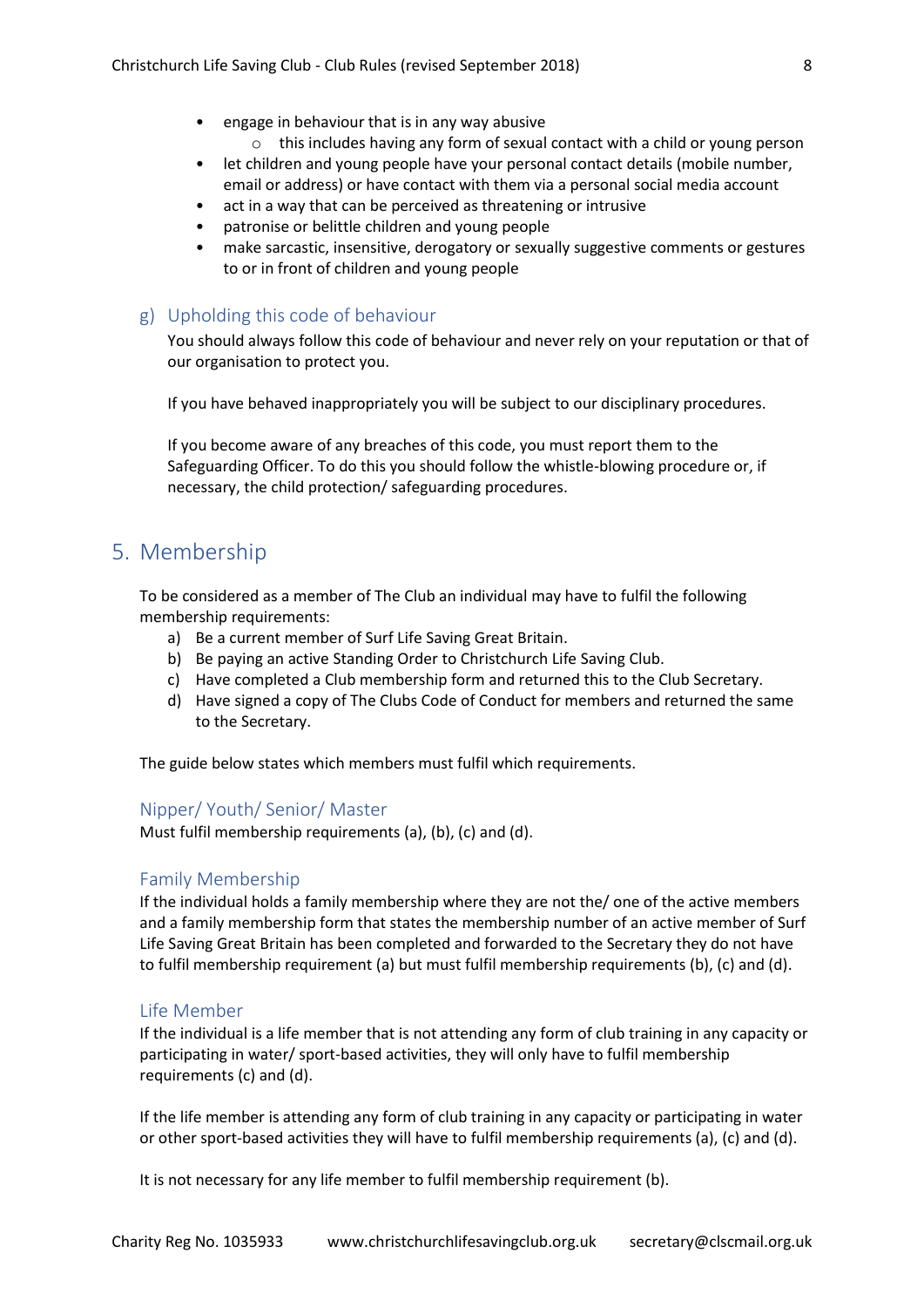- engage in behaviour that is in any way abusive
	- o this includes having any form of sexual contact with a child or young person
- let children and young people have your personal contact details (mobile number, email or address) or have contact with them via a personal social media account
- act in a way that can be perceived as threatening or intrusive
- patronise or belittle children and young people
- make sarcastic, insensitive, derogatory or sexually suggestive comments or gestures to or in front of children and young people

# g) Upholding this code of behaviour

You should always follow this code of behaviour and never rely on your reputation or that of our organisation to protect you.

If you have behaved inappropriately you will be subject to our disciplinary procedures.

If you become aware of any breaches of this code, you must report them to the Safeguarding Officer. To do this you should follow the whistle-blowing procedure or, if necessary, the child protection/ safeguarding procedures.

# <span id="page-7-0"></span>5. Membership

To be considered as a member of The Club an individual may have to fulfil the following membership requirements:

- a) Be a current member of Surf Life Saving Great Britain.
- b) Be paying an active Standing Order to Christchurch Life Saving Club.
- c) Have completed a Club membership form and returned this to the Club Secretary.
- d) Have signed a copy of The Clubs Code of Conduct for members and returned the same to the Secretary.

The guide below states which members must fulfil which requirements.

## Nipper/ Youth/ Senior/ Master

Must fulfil membership requirements (a), (b), (c) and (d).

#### Family Membership

If the individual holds a family membership where they are not the/ one of the active members and a family membership form that states the membership number of an active member of Surf Life Saving Great Britain has been completed and forwarded to the Secretary they do not have to fulfil membership requirement (a) but must fulfil membership requirements (b), (c) and (d).

#### Life Member

If the individual is a life member that is not attending any form of club training in any capacity or participating in water/ sport-based activities, they will only have to fulfil membership requirements (c) and (d).

If the life member is attending any form of club training in any capacity or participating in water or other sport-based activities they will have to fulfil membership requirements (a), (c) and (d).

It is not necessary for any life member to fulfil membership requirement (b).